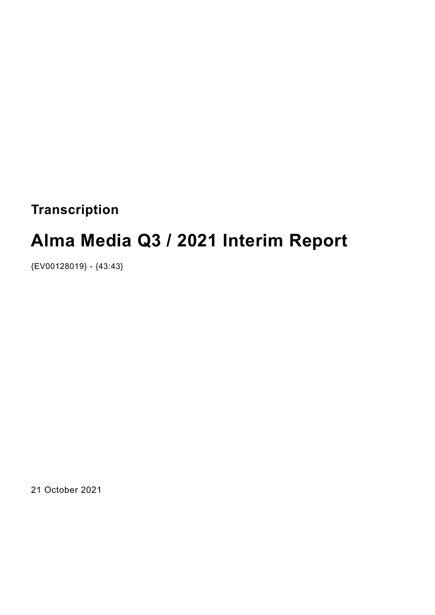# **Transcription**

# **Alma Media Q3 / 2021 Interim Report**

{EV00128019} - {43:43}

21 October 2021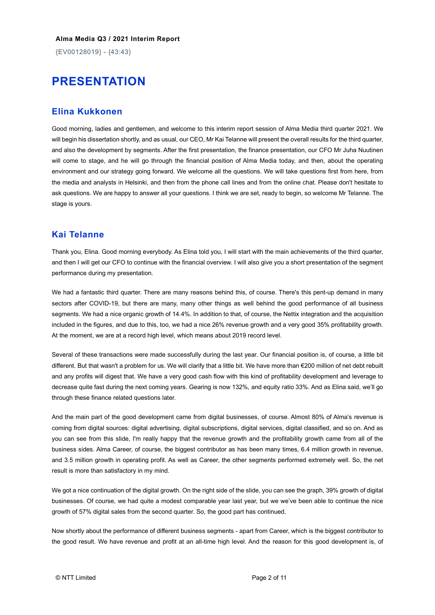{EV00128019} - {43:43}

# **PRESENTATION**

# **Elina Kukkonen**

Good morning, ladies and gentlemen, and welcome to this interim report session of Alma Media third quarter 2021. We will begin his dissertation shortly, and as usual, our CEO, Mr Kai Telanne will present the overall results for the third quarter, and also the development by segments. After the first presentation, the finance presentation, our CFO Mr Juha Nuutinen will come to stage, and he will go through the financial position of Alma Media today, and then, about the operating environment and our strategy going forward. We welcome all the questions. We will take questions first from here, from the media and analysts in Helsinki, and then from the phone call lines and from the online chat. Please don't hesitate to ask questions. We are happy to answer all your questions. I think we are set, ready to begin, so welcome Mr Telanne. The stage is yours.

# **Kai Telanne**

Thank you, Elina. Good morning everybody. As Elina told you, I will start with the main achievements of the third quarter, and then I will get our CFO to continue with the financial overview. I will also give you a short presentation of the segment performance during my presentation.

We had a fantastic third quarter. There are many reasons behind this, of course. There's this pent-up demand in many sectors after COVID-19, but there are many, many other things as well behind the good performance of all business segments. We had a nice organic growth of 14.4%. In addition to that, of course, the Nettix integration and the acquisition included in the figures, and due to this, too, we had a nice 26% revenue growth and a very good 35% profitability growth. At the moment, we are at a record high level, which means about 2019 record level.

Several of these transactions were made successfully during the last year. Our financial position is, of course, a little bit different. But that wasn't a problem for us. We will clarify that a little bit. We have more than €200 million of net debt rebuilt and any profits will digest that. We have a very good cash flow with this kind of profitability development and leverage to decrease quite fast during the next coming years. Gearing is now 132%, and equity ratio 33%. And as Elina said, we'll go through these finance related questions later.

And the main part of the good development came from digital businesses, of course. Almost 80% of Alma's revenue is coming from digital sources: digital advertising, digital subscriptions, digital services, digital classified, and so on. And as you can see from this slide, I'm really happy that the revenue growth and the profitability growth came from all of the business sides. Alma Career, of course, the biggest contributor as has been many times, 6.4 million growth in revenue, and 3.5 million growth in operating profit. As well as Career, the other segments performed extremely well. So, the net result is more than satisfactory in my mind.

We got a nice continuation of the digital growth. On the right side of the slide, you can see the graph, 39% growth of digital businesses. Of course, we had quite a modest comparable year last year, but we we've been able to continue the nice growth of 57% digital sales from the second quarter. So, the good part has continued.

Now shortly about the performance of different business segments - apart from Career, which is the biggest contributor to the good result. We have revenue and profit at an all-time high level. And the reason for this good development is, of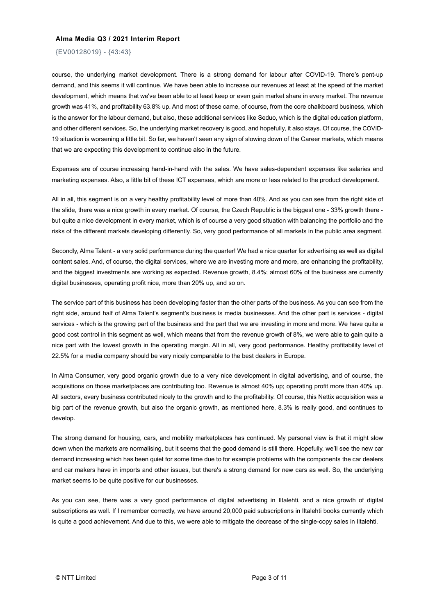{EV00128019} - {43:43}

course, the underlying market development. There is a strong demand for labour after COVID-19. There's pent-up demand, and this seems it will continue. We have been able to increase our revenues at least at the speed of the market development, which means that we've been able to at least keep or even gain market share in every market. The revenue growth was 41%, and profitability 63.8% up. And most of these came, of course, from the core chalkboard business, which is the answer for the labour demand, but also, these additional services like Seduo, which is the digital education platform, and other different services. So, the underlying market recovery is good, and hopefully, it also stays. Of course, the COVID-19 situation is worsening a little bit. So far, we haven't seen any sign of slowing down of the Career markets, which means that we are expecting this development to continue also in the future.

Expenses are of course increasing hand-in-hand with the sales. We have sales-dependent expenses like salaries and marketing expenses. Also, a little bit of these ICT expenses, which are more or less related to the product development.

All in all, this segment is on a very healthy profitability level of more than 40%. And as you can see from the right side of the slide, there was a nice growth in every market. Of course, the Czech Republic is the biggest one - 33% growth there but quite a nice development in every market, which is of course a very good situation with balancing the portfolio and the risks of the different markets developing differently. So, very good performance of all markets in the public area segment.

Secondly, Alma Talent - a very solid performance during the quarter! We had a nice quarter for advertising as well as digital content sales. And, of course, the digital services, where we are investing more and more, are enhancing the profitability, and the biggest investments are working as expected. Revenue growth, 8.4%; almost 60% of the business are currently digital businesses, operating profit nice, more than 20% up, and so on.

The service part of this business has been developing faster than the other parts of the business. As you can see from the right side, around half of Alma Talent's segment's business is media businesses. And the other part is services - digital services - which is the growing part of the business and the part that we are investing in more and more. We have quite a good cost control in this segment as well, which means that from the revenue growth of 8%, we were able to gain quite a nice part with the lowest growth in the operating margin. All in all, very good performance. Healthy profitability level of 22.5% for a media company should be very nicely comparable to the best dealers in Europe.

In Alma Consumer, very good organic growth due to a very nice development in digital advertising, and of course, the acquisitions on those marketplaces are contributing too. Revenue is almost 40% up; operating profit more than 40% up. All sectors, every business contributed nicely to the growth and to the profitability. Of course, this Nettix acquisition was a big part of the revenue growth, but also the organic growth, as mentioned here, 8.3% is really good, and continues to develop.

The strong demand for housing, cars, and mobility marketplaces has continued. My personal view is that it might slow down when the markets are normalising, but it seems that the good demand is still there. Hopefully, we'll see the new car demand increasing which has been quiet for some time due to for example problems with the components the car dealers and car makers have in imports and other issues, but there's a strong demand for new cars as well. So, the underlying market seems to be quite positive for our businesses.

As you can see, there was a very good performance of digital advertising in Iltalehti, and a nice growth of digital subscriptions as well. If I remember correctly, we have around 20,000 paid subscriptions in Iltalehti books currently which is quite a good achievement. And due to this, we were able to mitigate the decrease of the single-copy sales in Iltalehti.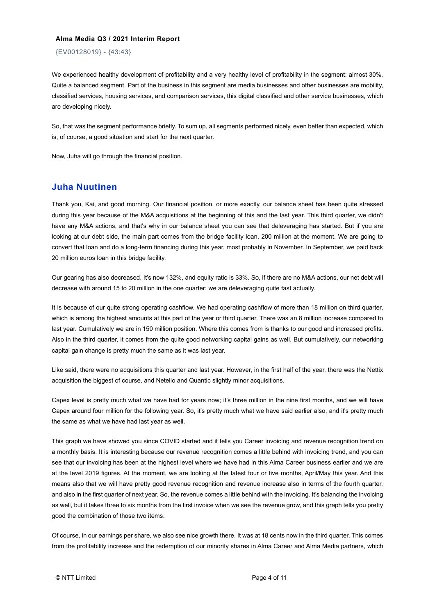{EV00128019} - {43:43}

We experienced healthy development of profitability and a very healthy level of profitability in the segment: almost 30%. Quite a balanced segment. Part of the business in this segment are media businesses and other businesses are mobility, classified services, housing services, and comparison services, this digital classified and other service businesses, which are developing nicely.

So, that was the segment performance briefly. To sum up, all segments performed nicely, even better than expected, which is, of course, a good situation and start for the next quarter.

Now, Juha will go through the financial position.

### **Juha Nuutinen**

Thank you, Kai, and good morning. Our financial position, or more exactly, our balance sheet has been quite stressed during this year because of the M&A acquisitions at the beginning of this and the last year. This third quarter, we didn't have any M&A actions, and that's why in our balance sheet you can see that deleveraging has started. But if you are looking at our debt side, the main part comes from the bridge facility loan, 200 million at the moment. We are going to convert that loan and do a long-term financing during this year, most probably in November. In September, we paid back 20 million euros loan in this bridge facility.

Our gearing has also decreased. It's now 132%, and equity ratio is 33%. So, if there are no M&A actions, our net debt will decrease with around 15 to 20 million in the one quarter; we are deleveraging quite fast actually.

It is because of our quite strong operating cashflow. We had operating cashflow of more than 18 million on third quarter, which is among the highest amounts at this part of the year or third quarter. There was an 8 million increase compared to last year. Cumulatively we are in 150 million position. Where this comes from is thanks to our good and increased profits. Also in the third quarter, it comes from the quite good networking capital gains as well. But cumulatively, our networking capital gain change is pretty much the same as it was last year.

Like said, there were no acquisitions this quarter and last year. However, in the first half of the year, there was the Nettix acquisition the biggest of course, and Netello and Quantic slightly minor acquisitions.

Capex level is pretty much what we have had for years now; it's three million in the nine first months, and we will have Capex around four million for the following year. So, it's pretty much what we have said earlier also, and it's pretty much the same as what we have had last year as well.

This graph we have showed you since COVID started and it tells you Career invoicing and revenue recognition trend on a monthly basis. It is interesting because our revenue recognition comes a little behind with invoicing trend, and you can see that our invoicing has been at the highest level where we have had in this Alma Career business earlier and we are at the level 2019 figures. At the moment, we are looking at the latest four or five months, April/May this year. And this means also that we will have pretty good revenue recognition and revenue increase also in terms of the fourth quarter, and also in the first quarter of next year. So, the revenue comes a little behind with the invoicing. It's balancing the invoicing as well, but it takes three to six months from the first invoice when we see the revenue grow, and this graph tells you pretty good the combination of those two items.

Of course, in our earnings per share, we also see nice growth there. It was at 18 cents now in the third quarter. This comes from the profitability increase and the redemption of our minority shares in Alma Career and Alma Media partners, which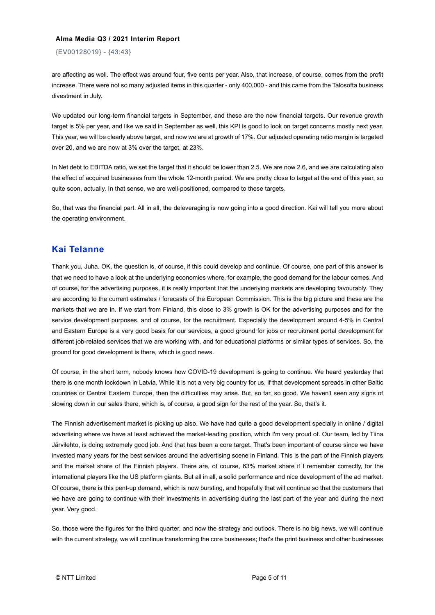{EV00128019} - {43:43}

are affecting as well. The effect was around four, five cents per year. Also, that increase, of course, comes from the profit increase. There were not so many adjusted items in this quarter - only 400,000 - and this came from the Talosofta business divestment in July.

We updated our long-term financial targets in September, and these are the new financial targets. Our revenue growth target is 5% per year, and like we said in September as well, this KPI is good to look on target concerns mostly next year. This year, we will be clearly above target, and now we are at growth of 17%. Our adjusted operating ratio margin is targeted over 20, and we are now at 3% over the target, at 23%.

In Net debt to EBITDA ratio, we set the target that it should be lower than 2.5. We are now 2.6, and we are calculating also the effect of acquired businesses from the whole 12-month period. We are pretty close to target at the end of this year, so quite soon, actually. In that sense, we are well-positioned, compared to these targets.

So, that was the financial part. All in all, the deleveraging is now going into a good direction. Kai will tell you more about the operating environment.

# **Kai Telanne**

Thank you, Juha. OK, the question is, of course, if this could develop and continue. Of course, one part of this answer is that we need to have a look at the underlying economies where, for example, the good demand for the labour comes. And of course, for the advertising purposes, it is really important that the underlying markets are developing favourably. They are according to the current estimates / forecasts of the European Commission. This is the big picture and these are the markets that we are in. If we start from Finland, this close to 3% growth is OK for the advertising purposes and for the service development purposes, and of course, for the recruitment. Especially the development around 4-5% in Central and Eastern Europe is a very good basis for our services, a good ground for jobs or recruitment portal development for different job-related services that we are working with, and for educational platforms or similar types of services. So, the ground for good development is there, which is good news.

Of course, in the short term, nobody knows how COVID-19 development is going to continue. We heard yesterday that there is one month lockdown in Latvia. While it is not a very big country for us, if that development spreads in other Baltic countries or Central Eastern Europe, then the difficulties may arise. But, so far, so good. We haven't seen any signs of slowing down in our sales there, which is, of course, a good sign for the rest of the year. So, that's it.

The Finnish advertisement market is picking up also. We have had quite a good development specially in online / digital advertising where we have at least achieved the market-leading position, which I'm very proud of. Our team, led by Tiina Järvilehto, is doing extremely good job. And that has been a core target. That's been important of course since we have invested many years for the best services around the advertising scene in Finland. This is the part of the Finnish players and the market share of the Finnish players. There are, of course, 63% market share if I remember correctly, for the international players like the US platform giants. But all in all, a solid performance and nice development of the ad market. Of course, there is this pent-up demand, which is now bursting, and hopefully that will continue so that the customers that we have are going to continue with their investments in advertising during the last part of the year and during the next year. Very good.

So, those were the figures for the third quarter, and now the strategy and outlook. There is no big news, we will continue with the current strategy, we will continue transforming the core businesses; that's the print business and other businesses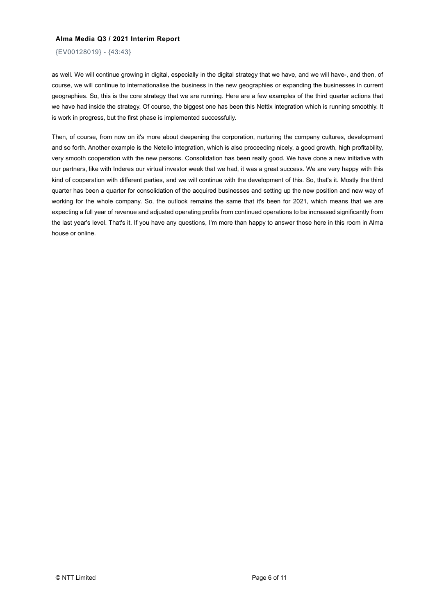{EV00128019} - {43:43}

as well. We will continue growing in digital, especially in the digital strategy that we have, and we will have-, and then, of course, we will continue to internationalise the business in the new geographies or expanding the businesses in current geographies. So, this is the core strategy that we are running. Here are a few examples of the third quarter actions that we have had inside the strategy. Of course, the biggest one has been this Nettix integration which is running smoothly. It is work in progress, but the first phase is implemented successfully.

Then, of course, from now on it's more about deepening the corporation, nurturing the company cultures, development and so forth. Another example is the Netello integration, which is also proceeding nicely, a good growth, high profitability, very smooth cooperation with the new persons. Consolidation has been really good. We have done a new initiative with our partners, like with Inderes our virtual investor week that we had, it was a great success. We are very happy with this kind of cooperation with different parties, and we will continue with the development of this. So, that's it. Mostly the third quarter has been a quarter for consolidation of the acquired businesses and setting up the new position and new way of working for the whole company. So, the outlook remains the same that it's been for 2021, which means that we are expecting a full year of revenue and adjusted operating profits from continued operations to be increased significantly from the last year's level. That's it. If you have any questions, I'm more than happy to answer those here in this room in Alma house or online.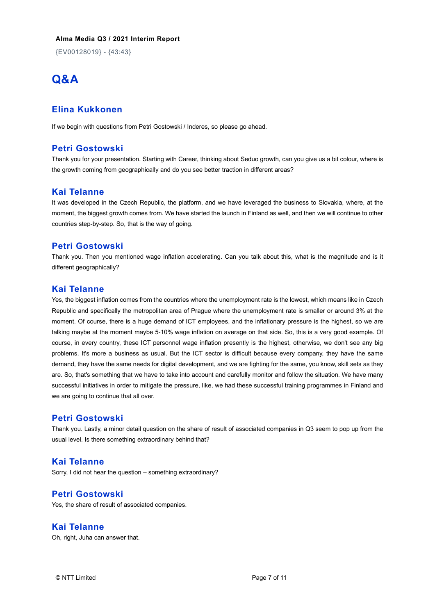{EV00128019} - {43:43}

# **Q&A**

# **Elina Kukkonen**

If we begin with questions from Petri Gostowski / Inderes, so please go ahead.

# **Petri Gostowski**

Thank you for your presentation. Starting with Career, thinking about Seduo growth, can you give us a bit colour, where is the growth coming from geographically and do you see better traction in different areas?

# **Kai Telanne**

It was developed in the Czech Republic, the platform, and we have leveraged the business to Slovakia, where, at the moment, the biggest growth comes from. We have started the launch in Finland as well, and then we will continue to other countries step-by-step. So, that is the way of going.

#### **Petri Gostowski**

Thank you. Then you mentioned wage inflation accelerating. Can you talk about this, what is the magnitude and is it different geographically?

#### **Kai Telanne**

Yes, the biggest inflation comes from the countries where the unemployment rate is the lowest, which means like in Czech Republic and specifically the metropolitan area of Prague where the unemployment rate is smaller or around 3% at the moment. Of course, there is a huge demand of ICT employees, and the inflationary pressure is the highest, so we are talking maybe at the moment maybe 5-10% wage inflation on average on that side. So, this is a very good example. Of course, in every country, these ICT personnel wage inflation presently is the highest, otherwise, we don't see any big problems. It's more a business as usual. But the ICT sector is difficult because every company, they have the same demand, they have the same needs for digital development, and we are fighting for the same, you know, skill sets as they are. So, that's something that we have to take into account and carefully monitor and follow the situation. We have many successful initiatives in order to mitigate the pressure, like, we had these successful training programmes in Finland and we are going to continue that all over.

### **Petri Gostowski**

Thank you. Lastly, a minor detail question on the share of result of associated companies in Q3 seem to pop up from the usual level. Is there something extraordinary behind that?

## **Kai Telanne**

Sorry, I did not hear the question – something extraordinary?

# **Petri Gostowski**

Yes, the share of result of associated companies.

### **Kai Telanne**

Oh, right, Juha can answer that.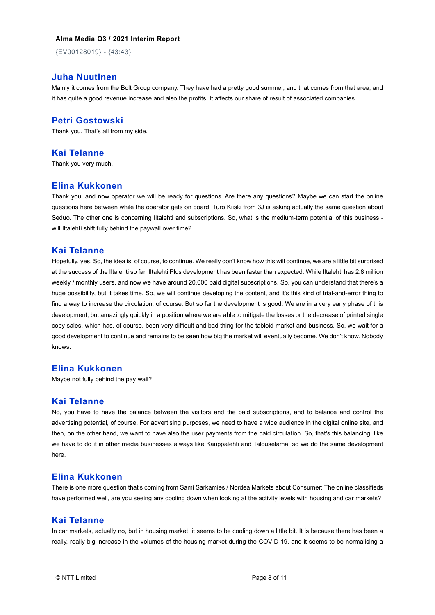{EV00128019} - {43:43}

# **Juha Nuutinen**

Mainly it comes from the Bolt Group company. They have had a pretty good summer, and that comes from that area, and it has quite a good revenue increase and also the profits. It affects our share of result of associated companies.

### **Petri Gostowski**

Thank you. That's all from my side.

#### **Kai Telanne**

Thank you very much.

### **Elina Kukkonen**

Thank you, and now operator we will be ready for questions. Are there any questions? Maybe we can start the online questions here between while the operator gets on board. Turo Kiiski from 3J is asking actually the same question about Seduo. The other one is concerning Iltalehti and subscriptions. So, what is the medium-term potential of this business will Iltalehti shift fully behind the paywall over time?

#### **Kai Telanne**

Hopefully, yes. So, the idea is, of course, to continue. We really don't know how this will continue, we are a little bit surprised at the success of the Iltalehti so far. Iltalehti Plus development has been faster than expected. While Iltalehti has 2.8 million weekly / monthly users, and now we have around 20,000 paid digital subscriptions. So, you can understand that there's a huge possibility, but it takes time. So, we will continue developing the content, and it's this kind of trial-and-error thing to find a way to increase the circulation, of course. But so far the development is good. We are in a very early phase of this development, but amazingly quickly in a position where we are able to mitigate the losses or the decrease of printed single copy sales, which has, of course, been very difficult and bad thing for the tabloid market and business. So, we wait for a good development to continue and remains to be seen how big the market will eventually become. We don't know. Nobody knows.

# **Elina Kukkonen**

Maybe not fully behind the pay wall?

#### **Kai Telanne**

No, you have to have the balance between the visitors and the paid subscriptions, and to balance and control the advertising potential, of course. For advertising purposes, we need to have a wide audience in the digital online site, and then, on the other hand, we want to have also the user payments from the paid circulation. So, that's this balancing, like we have to do it in other media businesses always like Kauppalehti and Talouselämä, so we do the same development here.

# **Elina Kukkonen**

There is one more question that's coming from Sami Sarkamies / Nordea Markets about Consumer: The online classifieds have performed well, are you seeing any cooling down when looking at the activity levels with housing and car markets?

# **Kai Telanne**

In car markets, actually no, but in housing market, it seems to be cooling down a little bit. It is because there has been a really, really big increase in the volumes of the housing market during the COVID-19, and it seems to be normalising a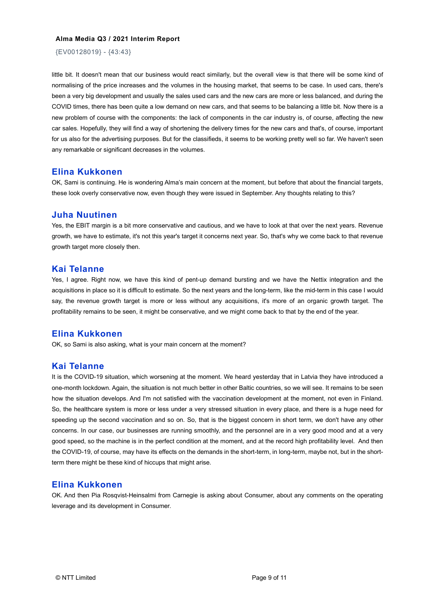{EV00128019} - {43:43}

little bit. It doesn't mean that our business would react similarly, but the overall view is that there will be some kind of normalising of the price increases and the volumes in the housing market, that seems to be case. In used cars, there's been a very big development and usually the sales used cars and the new cars are more or less balanced, and during the COVID times, there has been quite a low demand on new cars, and that seems to be balancing a little bit. Now there is a new problem of course with the components: the lack of components in the car industry is, of course, affecting the new car sales. Hopefully, they will find a way of shortening the delivery times for the new cars and that's, of course, important for us also for the advertising purposes. But for the classifieds, it seems to be working pretty well so far. We haven't seen any remarkable or significant decreases in the volumes.

#### **Elina Kukkonen**

OK, Sami is continuing. He is wondering Alma's main concern at the moment, but before that about the financial targets, these look overly conservative now, even though they were issued in September. Any thoughts relating to this?

#### **Juha Nuutinen**

Yes, the EBIT margin is a bit more conservative and cautious, and we have to look at that over the next years. Revenue growth, we have to estimate, it's not this year's target it concerns next year. So, that's why we come back to that revenue growth target more closely then.

#### **Kai Telanne**

Yes, I agree. Right now, we have this kind of pent-up demand bursting and we have the Nettix integration and the acquisitions in place so it is difficult to estimate. So the next years and the long-term, like the mid-term in this case I would say, the revenue growth target is more or less without any acquisitions, it's more of an organic growth target. The profitability remains to be seen, it might be conservative, and we might come back to that by the end of the year.

#### **Elina Kukkonen**

OK, so Sami is also asking, what is your main concern at the moment?

# **Kai Telanne**

It is the COVID-19 situation, which worsening at the moment. We heard yesterday that in Latvia they have introduced a one-month lockdown. Again, the situation is not much better in other Baltic countries, so we will see. It remains to be seen how the situation develops. And I'm not satisfied with the vaccination development at the moment, not even in Finland. So, the healthcare system is more or less under a very stressed situation in every place, and there is a huge need for speeding up the second vaccination and so on. So, that is the biggest concern in short term, we don't have any other concerns. In our case, our businesses are running smoothly, and the personnel are in a very good mood and at a very good speed, so the machine is in the perfect condition at the moment, and at the record high profitability level. And then the COVID-19, of course, may have its effects on the demands in the short-term, in long-term, maybe not, but in the shortterm there might be these kind of hiccups that might arise.

# **Elina Kukkonen**

OK. And then Pia Rosqvist-Heinsalmi from Carnegie is asking about Consumer, about any comments on the operating leverage and its development in Consumer.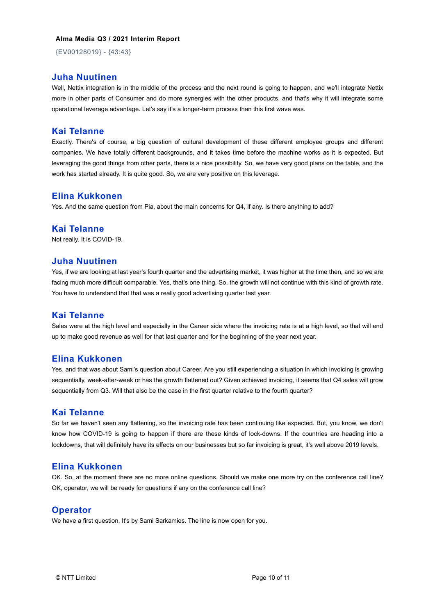{EV00128019} - {43:43}

#### **Juha Nuutinen**

Well, Nettix integration is in the middle of the process and the next round is going to happen, and we'll integrate Nettix more in other parts of Consumer and do more synergies with the other products, and that's why it will integrate some operational leverage advantage. Let's say it's a longer-term process than this first wave was.

#### **Kai Telanne**

Exactly. There's of course, a big question of cultural development of these different employee groups and different companies. We have totally different backgrounds, and it takes time before the machine works as it is expected. But leveraging the good things from other parts, there is a nice possibility. So, we have very good plans on the table, and the work has started already. It is quite good. So, we are very positive on this leverage.

#### **Elina Kukkonen**

Yes. And the same question from Pia, about the main concerns for Q4, if any. Is there anything to add?

#### **Kai Telanne**

Not really. It is COVID-19.

#### **Juha Nuutinen**

Yes, if we are looking at last year's fourth quarter and the advertising market, it was higher at the time then, and so we are facing much more difficult comparable. Yes, that's one thing. So, the growth will not continue with this kind of growth rate. You have to understand that that was a really good advertising quarter last year.

# **Kai Telanne**

Sales were at the high level and especially in the Career side where the invoicing rate is at a high level, so that will end up to make good revenue as well for that last quarter and for the beginning of the year next year.

#### **Elina Kukkonen**

Yes, and that was about Sami's question about Career. Are you still experiencing a situation in which invoicing is growing sequentially, week-after-week or has the growth flattened out? Given achieved invoicing, it seems that Q4 sales will grow sequentially from Q3. Will that also be the case in the first quarter relative to the fourth quarter?

# **Kai Telanne**

So far we haven't seen any flattening, so the invoicing rate has been continuing like expected. But, you know, we don't know how COVID-19 is going to happen if there are these kinds of lock-downs. If the countries are heading into a lockdowns, that will definitely have its effects on our businesses but so far invoicing is great, it's well above 2019 levels.

# **Elina Kukkonen**

OK. So, at the moment there are no more online questions. Should we make one more try on the conference call line? OK, operator, we will be ready for questions if any on the conference call line?

#### **Operator**

We have a first question. It's by Sami Sarkamies. The line is now open for you.